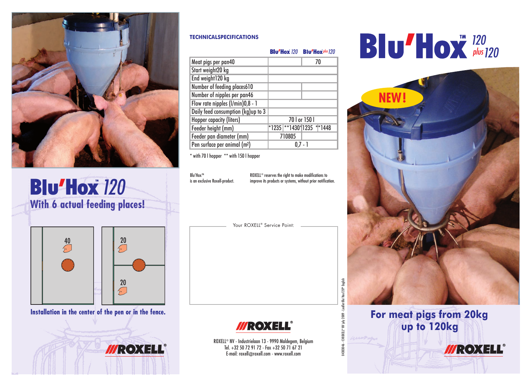

**With 6 actual feeding places! Blu'Hox** 120



**Installation in the center of the pen or in the fence.**

**II/ROXEL** 

#### **TECHNICALSPECIFICATIONS**

| <b>Blu'Hox</b> $120$ <b>Blu'Hox</b> $plus 120$ |  |
|------------------------------------------------|--|
|------------------------------------------------|--|

| Meat pigs per pan40                      | 70                        |
|------------------------------------------|---------------------------|
| Start weight20 kg                        |                           |
| End weight120 kg                         |                           |
| Number of feeding places610              |                           |
| Number of nipples per pan46              |                           |
| Flow rate nipples (I/min)0,8 - 1         |                           |
| Daily feed consumption (kg)up to 3       |                           |
| Hopper capacity (liters)                 | 70   or 150               |
| Feeder height (mm)                       | *1235 **1430* 1235 **1448 |
| Feeder pan diameter (mm)                 | 710805                    |
| Pen surface per animal (m <sup>2</sup> ) |                           |

\* with 70 l hopper \*\* with 150 l hopper

**Blu'Hox™** is an exclusive Roxell-product. ROXELL® reserves the right to make modifications to improve its products or systems, without prior notification.

Your ROXELL® Service Point:



ROXELL® NV - Industrielaan 13 - 9990 Maldegem, Belgium Tel. +32 50 72 91 72 - Fax +32 50 71 67 21 E-mail: roxell@roxell.com - www.roxell.com

04303046

### *120 120 plus*



**For meat pigs from 20kg up to 120kg** 

**MROXELL®**